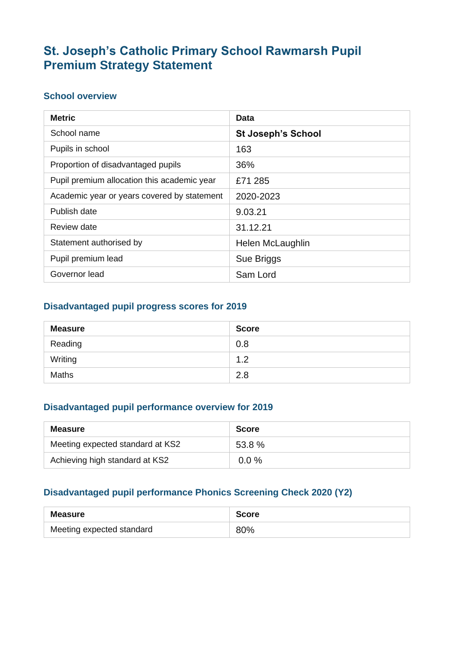## **St. Joseph's Catholic Primary School Rawmarsh Pupil Premium Strategy Statement**

#### **School overview**

| <b>Metric</b>                               | Data                      |
|---------------------------------------------|---------------------------|
| School name                                 | <b>St Joseph's School</b> |
| Pupils in school                            | 163                       |
| Proportion of disadvantaged pupils          | 36%                       |
| Pupil premium allocation this academic year | £71 285                   |
| Academic year or years covered by statement | 2020-2023                 |
| Publish date                                | 9.03.21                   |
| Review date                                 | 31.12.21                  |
| Statement authorised by                     | Helen McLaughlin          |
| Pupil premium lead                          | Sue Briggs                |
| Governor lead                               | Sam Lord                  |

#### **Disadvantaged pupil progress scores for 2019**

| <b>Measure</b> | <b>Score</b> |
|----------------|--------------|
| Reading        | 0.8          |
| Writing        | 1.2          |
| <b>Maths</b>   | 2.8          |

#### **Disadvantaged pupil performance overview for 2019**

| Measure                          | <b>Score</b> |
|----------------------------------|--------------|
| Meeting expected standard at KS2 | 53.8%        |
| Achieving high standard at KS2   | $0.0 \%$     |

#### **Disadvantaged pupil performance Phonics Screening Check 2020 (Y2)**

| Measure                   | <b>Score</b> |
|---------------------------|--------------|
| Meeting expected standard | 80%          |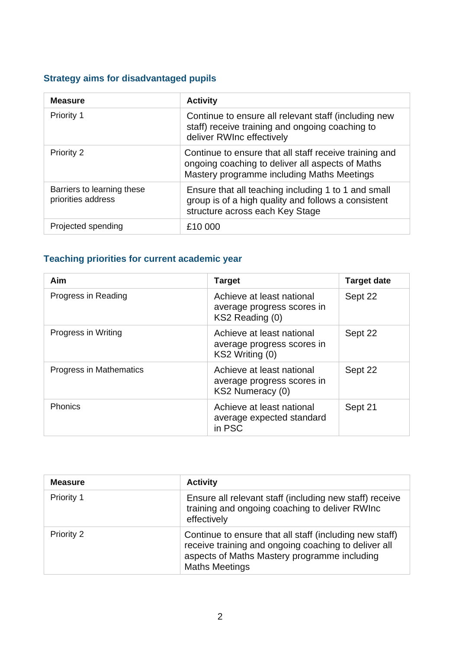### **Strategy aims for disadvantaged pupils**

| <b>Measure</b>                                   | <b>Activity</b>                                                                                                                                          |
|--------------------------------------------------|----------------------------------------------------------------------------------------------------------------------------------------------------------|
| Priority 1                                       | Continue to ensure all relevant staff (including new<br>staff) receive training and ongoing coaching to<br>deliver RWInc effectively                     |
| <b>Priority 2</b>                                | Continue to ensure that all staff receive training and<br>ongoing coaching to deliver all aspects of Maths<br>Mastery programme including Maths Meetings |
| Barriers to learning these<br>priorities address | Ensure that all teaching including 1 to 1 and small<br>group is of a high quality and follows a consistent<br>structure across each Key Stage            |
| Projected spending                               | £10 000                                                                                                                                                  |

### **Teaching priorities for current academic year**

| Aim                     | <b>Target</b>                                                               | <b>Target date</b> |
|-------------------------|-----------------------------------------------------------------------------|--------------------|
| Progress in Reading     | Achieve at least national<br>average progress scores in<br>KS2 Reading (0)  | Sept 22            |
| Progress in Writing     | Achieve at least national<br>average progress scores in<br>KS2 Writing (0)  | Sept 22            |
| Progress in Mathematics | Achieve at least national<br>average progress scores in<br>KS2 Numeracy (0) | Sept 22            |
| <b>Phonics</b>          | Achieve at least national<br>average expected standard<br>in PSC            | Sept 21            |

| <b>Measure</b>    | <b>Activity</b>                                                                                                                                                                          |
|-------------------|------------------------------------------------------------------------------------------------------------------------------------------------------------------------------------------|
| Priority 1        | Ensure all relevant staff (including new staff) receive<br>training and ongoing coaching to deliver RWInc<br>effectively                                                                 |
| <b>Priority 2</b> | Continue to ensure that all staff (including new staff)<br>receive training and ongoing coaching to deliver all<br>aspects of Maths Mastery programme including<br><b>Maths Meetings</b> |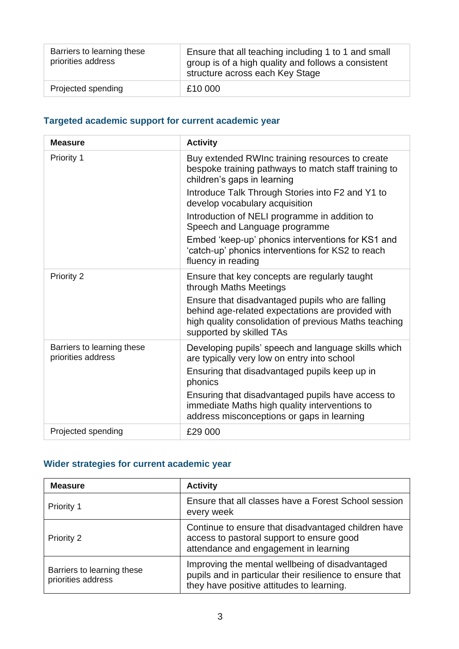| Barriers to learning these<br>priorities address | Ensure that all teaching including 1 to 1 and small<br>group is of a high quality and follows a consistent<br>structure across each Key Stage |
|--------------------------------------------------|-----------------------------------------------------------------------------------------------------------------------------------------------|
| Projected spending                               | £10 000                                                                                                                                       |

### **Targeted academic support for current academic year**

| <b>Measure</b>                                   | <b>Activity</b>                                                                                                                                                                            |
|--------------------------------------------------|--------------------------------------------------------------------------------------------------------------------------------------------------------------------------------------------|
| Priority 1                                       | Buy extended RWInc training resources to create<br>bespoke training pathways to match staff training to<br>children's gaps in learning                                                     |
|                                                  | Introduce Talk Through Stories into F2 and Y1 to<br>develop vocabulary acquisition                                                                                                         |
|                                                  | Introduction of NELI programme in addition to<br>Speech and Language programme                                                                                                             |
|                                                  | Embed 'keep-up' phonics interventions for KS1 and<br>'catch-up' phonics interventions for KS2 to reach<br>fluency in reading                                                               |
| Priority 2                                       | Ensure that key concepts are regularly taught<br>through Maths Meetings                                                                                                                    |
|                                                  | Ensure that disadvantaged pupils who are falling<br>behind age-related expectations are provided with<br>high quality consolidation of previous Maths teaching<br>supported by skilled TAs |
| Barriers to learning these<br>priorities address | Developing pupils' speech and language skills which<br>are typically very low on entry into school                                                                                         |
|                                                  | Ensuring that disadvantaged pupils keep up in<br>phonics                                                                                                                                   |
|                                                  | Ensuring that disadvantaged pupils have access to<br>immediate Maths high quality interventions to<br>address misconceptions or gaps in learning                                           |
| Projected spending                               | £29 000                                                                                                                                                                                    |

## **Wider strategies for current academic year**

| <b>Measure</b>                                   | <b>Activity</b>                                                                                                                                          |
|--------------------------------------------------|----------------------------------------------------------------------------------------------------------------------------------------------------------|
| Priority 1                                       | Ensure that all classes have a Forest School session<br>every week                                                                                       |
| Priority 2                                       | Continue to ensure that disadvantaged children have<br>access to pastoral support to ensure good<br>attendance and engagement in learning                |
| Barriers to learning these<br>priorities address | Improving the mental wellbeing of disadvantaged<br>pupils and in particular their resilience to ensure that<br>they have positive attitudes to learning. |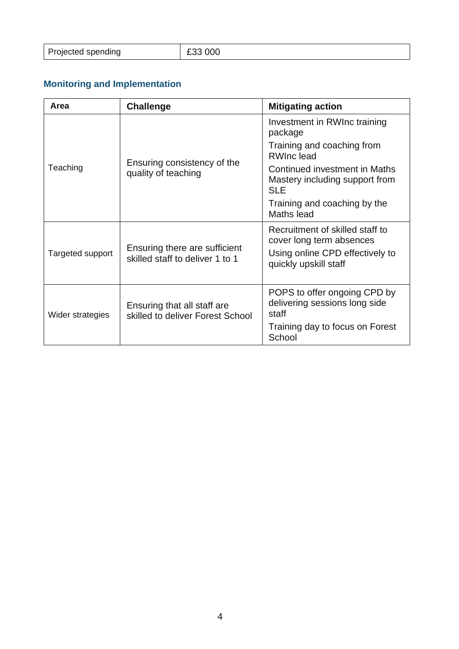| Projected spending | E33 000 |
|--------------------|---------|
|                    |         |

# **Monitoring and Implementation**

| Area                                                                                 | <b>Challenge</b>                                                | <b>Mitigating action</b>                                                      |
|--------------------------------------------------------------------------------------|-----------------------------------------------------------------|-------------------------------------------------------------------------------|
|                                                                                      |                                                                 | Investment in RWInc training<br>package                                       |
| Teaching                                                                             | Ensuring consistency of the<br>quality of teaching              | Training and coaching from<br><b>RWInclead</b>                                |
|                                                                                      |                                                                 | Continued investment in Maths<br>Mastery including support from<br><b>SLE</b> |
|                                                                                      |                                                                 | Training and coaching by the<br>Maths lead                                    |
| Ensuring there are sufficient<br>Targeted support<br>skilled staff to deliver 1 to 1 |                                                                 | Recruitment of skilled staff to<br>cover long term absences                   |
|                                                                                      |                                                                 | Using online CPD effectively to<br>quickly upskill staff                      |
| Wider strategies                                                                     | Ensuring that all staff are<br>skilled to deliver Forest School | POPS to offer ongoing CPD by<br>delivering sessions long side<br>staff        |
|                                                                                      |                                                                 | Training day to focus on Forest<br>School                                     |